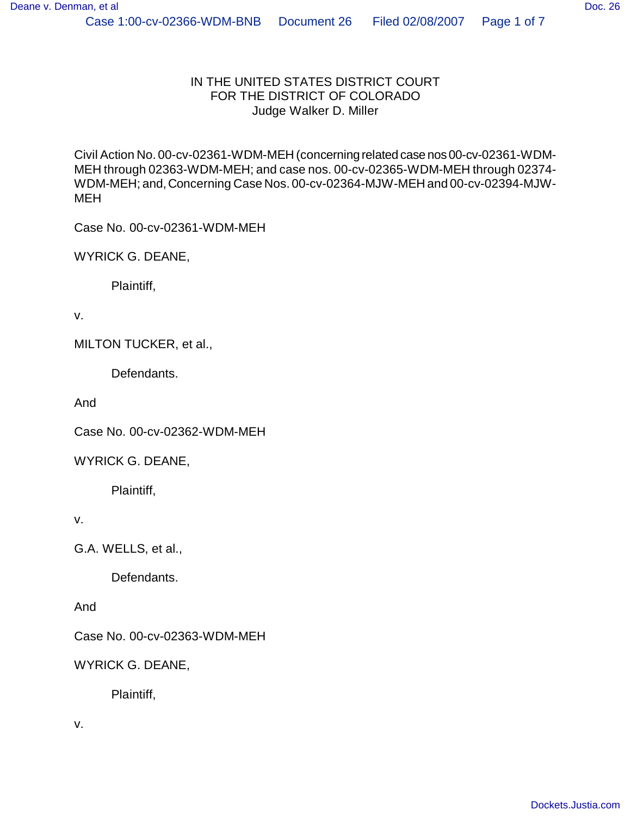Civil Action No. 00-cv-02361-WDM-MEH (concerning related case nos 00-cv-02361-WDM-MEH through 02363-WDM-MEH; and case nos. 00-cv-02365-WDM-MEH through 02374- WDM-MEH; and, Concerning Case Nos. 00-cv-02364-MJW-MEH and 00-cv-02394-MJW-MEH

Case No. 00-cv-02361-WDM-MEH

WYRICK G. DEANE,

Plaintiff,

v.

MILTON TUCKER, et al.,

Defendants.

And

Case No. 00-cv-02362-WDM-MEH

WYRICK G. DEANE,

Plaintiff,

v.

G.A. WELLS, et al.,

Defendants.

And

Case No. 00-cv-02363-WDM-MEH

WYRICK G. DEANE,

Plaintiff,

v.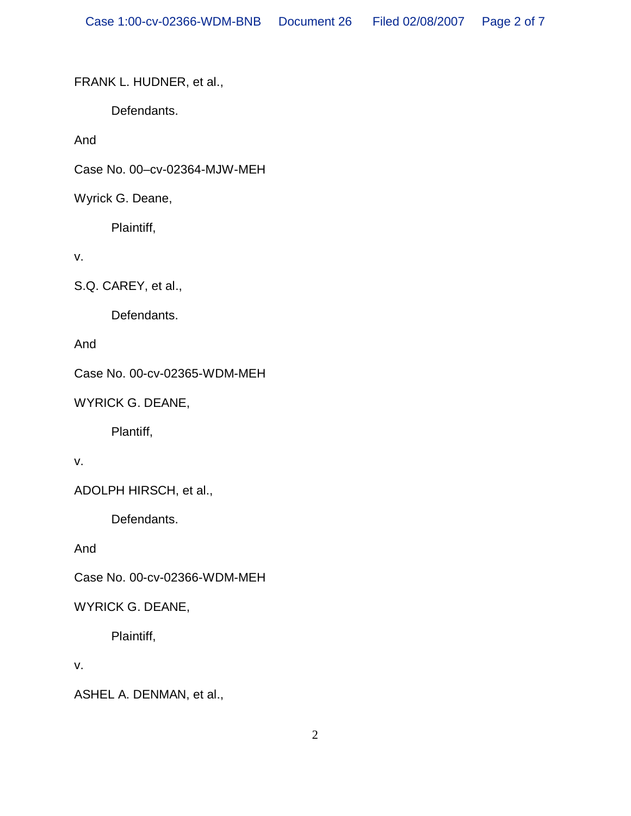FRANK L. HUDNER, et al.,

Defendants.

And

Case No. 00–cv-02364-MJW-MEH

Wyrick G. Deane,

Plaintiff,

v.

S.Q. CAREY, et al.,

Defendants.

And

Case No. 00-cv-02365-WDM-MEH

WYRICK G. DEANE,

Plantiff,

v.

ADOLPH HIRSCH, et al.,

Defendants.

And

Case No. 00-cv-02366-WDM-MEH

WYRICK G. DEANE,

Plaintiff,

v.

ASHEL A. DENMAN, et al.,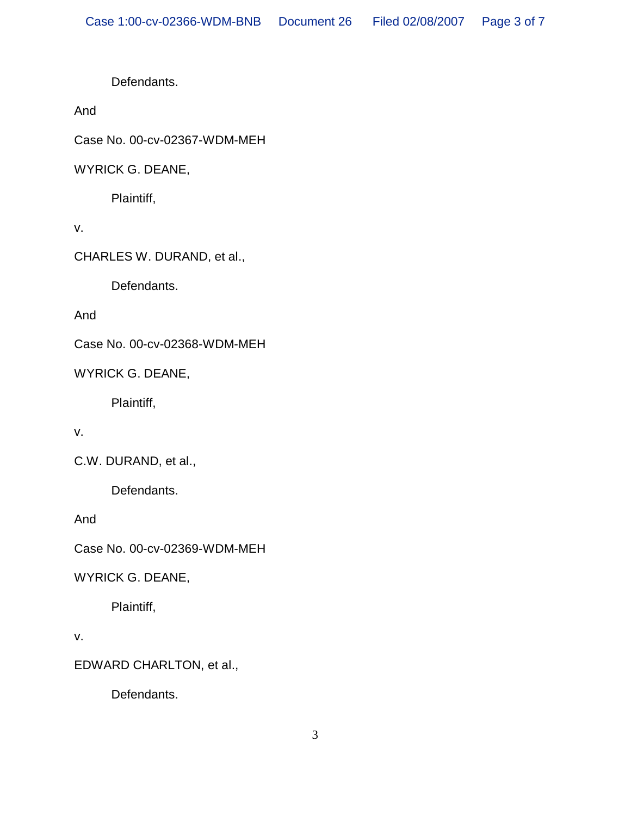Defendants.

And

Case No. 00-cv-02367-WDM-MEH

WYRICK G. DEANE,

Plaintiff,

v.

CHARLES W. DURAND, et al.,

Defendants.

And

Case No. 00-cv-02368-WDM-MEH

WYRICK G. DEANE,

Plaintiff,

v.

C.W. DURAND, et al.,

Defendants.

And

Case No. 00-cv-02369-WDM-MEH

WYRICK G. DEANE,

Plaintiff,

v.

EDWARD CHARLTON, et al.,

Defendants.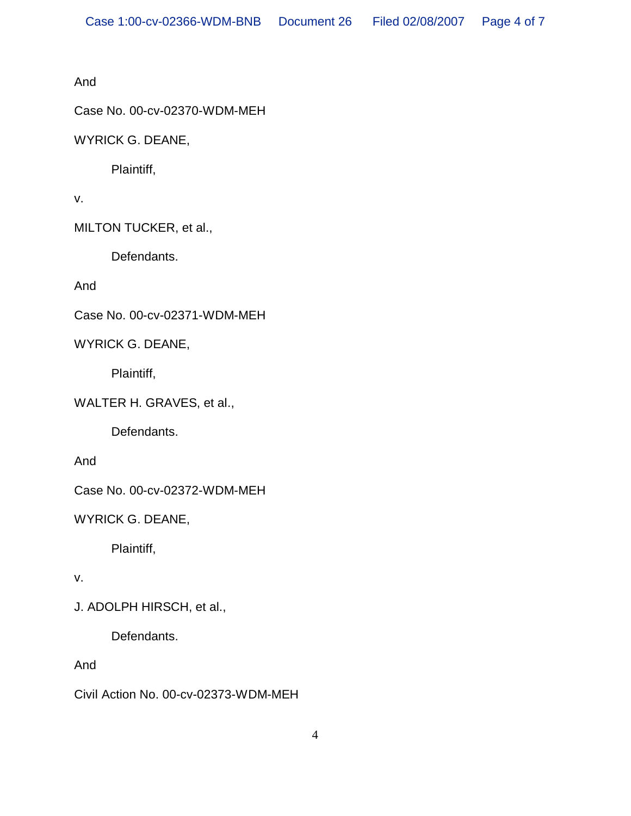And

Case No. 00-cv-02370-WDM-MEH

WYRICK G. DEANE,

Plaintiff,

v.

MILTON TUCKER, et al.,

Defendants.

And

Case No. 00-cv-02371-WDM-MEH

WYRICK G. DEANE,

Plaintiff,

WALTER H. GRAVES, et al.,

Defendants.

And

Case No. 00-cv-02372-WDM-MEH

WYRICK G. DEANE,

Plaintiff,

v.

J. ADOLPH HIRSCH, et al.,

Defendants.

And

Civil Action No. 00-cv-02373-WDM-MEH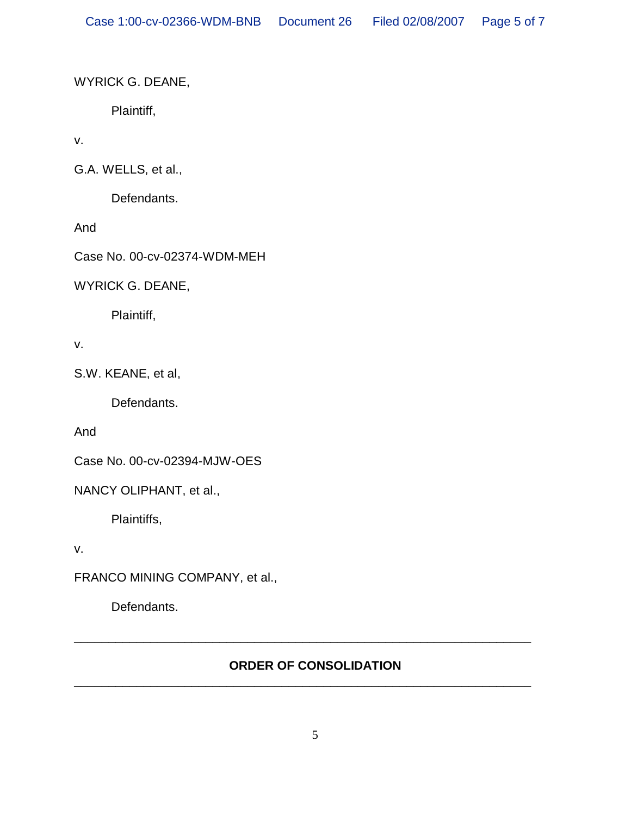WYRICK G. DEANE,

Plaintiff,

v.

G.A. WELLS, et al.,

Defendants.

And

Case No. 00-cv-02374-WDM-MEH

WYRICK G. DEANE,

Plaintiff,

v.

S.W. KEANE, et al,

Defendants.

And

Case No. 00-cv-02394-MJW-OES

NANCY OLIPHANT, et al.,

Plaintiffs,

v.

FRANCO MINING COMPANY, et al.,

Defendants.

## **ORDER OF CONSOLIDATION**

\_\_\_\_\_\_\_\_\_\_\_\_\_\_\_\_\_\_\_\_\_\_\_\_\_\_\_\_\_\_\_\_\_\_\_\_\_\_\_\_\_\_\_\_\_\_\_\_\_\_\_\_\_\_\_\_\_\_\_\_\_\_\_\_\_\_

\_\_\_\_\_\_\_\_\_\_\_\_\_\_\_\_\_\_\_\_\_\_\_\_\_\_\_\_\_\_\_\_\_\_\_\_\_\_\_\_\_\_\_\_\_\_\_\_\_\_\_\_\_\_\_\_\_\_\_\_\_\_\_\_\_\_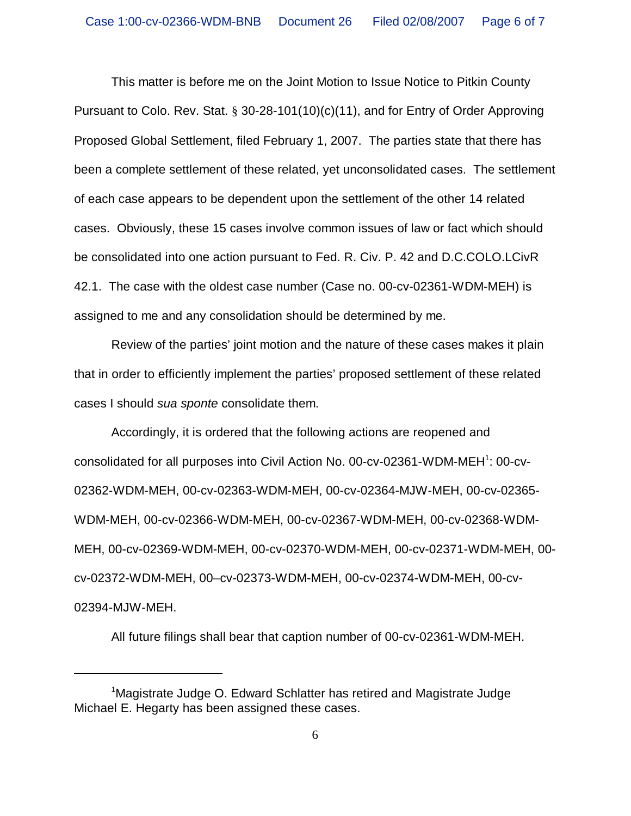This matter is before me on the Joint Motion to Issue Notice to Pitkin County Pursuant to Colo. Rev. Stat. § 30-28-101(10)(c)(11), and for Entry of Order Approving Proposed Global Settlement, filed February 1, 2007. The parties state that there has been a complete settlement of these related, yet unconsolidated cases. The settlement of each case appears to be dependent upon the settlement of the other 14 related cases. Obviously, these 15 cases involve common issues of law or fact which should be consolidated into one action pursuant to Fed. R. Civ. P. 42 and D.C.COLO.LCivR 42.1. The case with the oldest case number (Case no. 00-cv-02361-WDM-MEH) is assigned to me and any consolidation should be determined by me.

Review of the parties' joint motion and the nature of these cases makes it plain that in order to efficiently implement the parties' proposed settlement of these related cases I should *sua sponte* consolidate them.

Accordingly, it is ordered that the following actions are reopened and consolidated for all purposes into Civil Action No. 00-cv-02361-WDM-MEH<sup>1</sup>: 00-cv-02362-WDM-MEH, 00-cv-02363-WDM-MEH, 00-cv-02364-MJW-MEH, 00-cv-02365- WDM-MEH, 00-cv-02366-WDM-MEH, 00-cv-02367-WDM-MEH, 00-cv-02368-WDM-MEH, 00-cv-02369-WDM-MEH, 00-cv-02370-WDM-MEH, 00-cv-02371-WDM-MEH, 00 cv-02372-WDM-MEH, 00–cv-02373-WDM-MEH, 00-cv-02374-WDM-MEH, 00-cv-02394-MJW-MEH.

All future filings shall bear that caption number of 00-cv-02361-WDM-MEH.

<sup>&</sup>lt;sup>1</sup>Magistrate Judge O. Edward Schlatter has retired and Magistrate Judge Michael E. Hegarty has been assigned these cases.